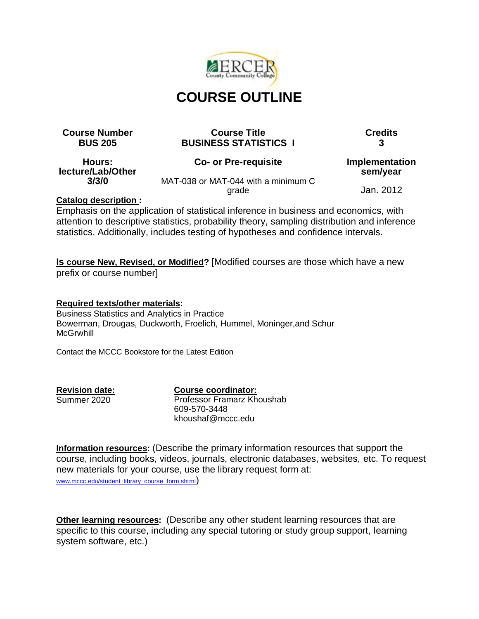

# **COURSE OUTLINE**

#### **Course Number Course Title Credits BUS 205 BUSINESS STATISTICS I 3**

**Hours: lecture/Lab/Other 3/3/0**

#### **Co- or Pre-requisite**

**Implementation sem/year**

MAT-038 or MAT-044 with a minimum C grade

Jan. 2012

# **Catalog description :**

Emphasis on the application of statistical inference in business and economics, with attention to descriptive statistics, probability theory, sampling distribution and inference statistics. Additionally, includes testing of hypotheses and confidence intervals.

**Is course New, Revised, or Modified?** [Modified courses are those which have a new prefix or course number]

**Required texts/other materials:** Business Statistics and Analytics in Practice Bowerman, Drougas, Duckworth, Froelich, Hummel, Moninger,and Schur **McGrwhill** 

Contact the MCCC Bookstore for the Latest Edition

**Revision date:**

Summer 2020

**Course coordinator:** Professor Framarz Khoushab 609-570-3448 khoushaf@mccc.edu

**Information resources:** (Describe the primary information resources that support the course, including books, videos, journals, electronic databases, websites, etc. To request new materials for your course, use the library request form at:

[www.mccc.edu/student\\_library\\_course\\_form.shtml](http://www.mccc.edu/student_library_course_form.shtml))

**Other learning resources:** (Describe any other student learning resources that are specific to this course, including any special tutoring or study group support, learning system software, etc.)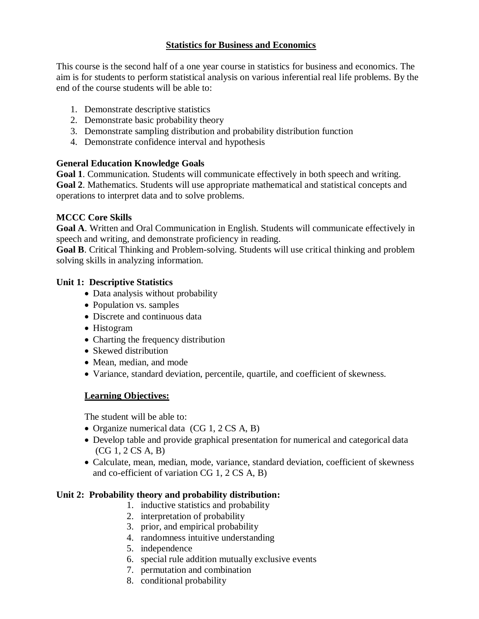### **Statistics for Business and Economics**

This course is the second half of a one year course in statistics for business and economics. The aim is for students to perform statistical analysis on various inferential real life problems. By the end of the course students will be able to:

- 1. Demonstrate descriptive statistics
- 2. Demonstrate basic probability theory
- 3. Demonstrate sampling distribution and probability distribution function
- 4. Demonstrate confidence interval and hypothesis

### **General Education Knowledge Goals**

**Goal 1**. Communication. Students will communicate effectively in both speech and writing.

**Goal 2**. Mathematics. Students will use appropriate mathematical and statistical concepts and operations to interpret data and to solve problems.

### **MCCC Core Skills**

**Goal A**. Written and Oral Communication in English. Students will communicate effectively in speech and writing, and demonstrate proficiency in reading.

**Goal B**. Critical Thinking and Problem-solving. Students will use critical thinking and problem solving skills in analyzing information.

### **Unit 1: Descriptive Statistics**

- Data analysis without probability
- Population vs. samples
- Discrete and continuous data
- Histogram
- Charting the frequency distribution
- Skewed distribution
- Mean, median, and mode
- Variance, standard deviation, percentile, quartile, and coefficient of skewness.

# **Learning Objectives:**

The student will be able to:

- Organize numerical data  $(CG 1, 2 CS A, B)$
- Develop table and provide graphical presentation for numerical and categorical data (CG 1, 2 CS A, B)
- Calculate, mean, median, mode, variance, standard deviation, coefficient of skewness and co-efficient of variation CG 1, 2 CS A, B)

# **Unit 2: Probability theory and probability distribution:**

- 1. inductive statistics and probability
- 2. interpretation of probability
- 3. prior, and empirical probability
- 4. randomness intuitive understanding
- 5. independence
- 6. special rule addition mutually exclusive events
- 7. permutation and combination
- 8. conditional probability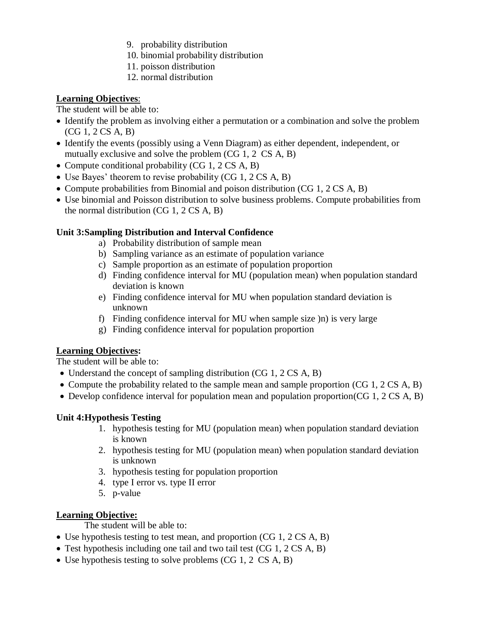- 9. probability distribution
- 10. binomial probability distribution
- 11. poisson distribution
- 12. normal distribution

# **Learning Objectives**:

The student will be able to:

- Identify the problem as involving either a permutation or a combination and solve the problem (CG 1, 2 CS A, B)
- Identify the events (possibly using a Venn Diagram) as either dependent, independent, or mutually exclusive and solve the problem (CG 1, 2 CS A, B)
- Compute conditional probability  $(CG_1, 2 CS A, B)$
- Use Bayes' theorem to revise probability (CG 1, 2 CS A, B)
- Compute probabilities from Binomial and poison distribution (CG 1, 2 CS A, B)
- Use binomial and Poisson distribution to solve business problems. Compute probabilities from the normal distribution (CG 1, 2 CS A, B)

# **Unit 3:Sampling Distribution and Interval Confidence**

- a) Probability distribution of sample mean
- b) Sampling variance as an estimate of population variance
- c) Sample proportion as an estimate of population proportion
- d) Finding confidence interval for MU (population mean) when population standard deviation is known
- e) Finding confidence interval for MU when population standard deviation is unknown
- f) Finding confidence interval for MU when sample size )n) is very large
- g) Finding confidence interval for population proportion

# **Learning Objectives:**

The student will be able to:

- Understand the concept of sampling distribution (CG 1, 2 CS A, B)
- Compute the probability related to the sample mean and sample proportion (CG 1, 2 CS A, B)
- Develop confidence interval for population mean and population proportion(CG 1, 2 CS A, B)

# **Unit 4:Hypothesis Testing**

- 1. hypothesis testing for MU (population mean) when population standard deviation is known
- 2. hypothesis testing for MU (population mean) when population standard deviation is unknown
- 3. hypothesis testing for population proportion
- 4. type I error vs. type II error
- 5. p-value

# **Learning Objective:**

The student will be able to:

- Use hypothesis testing to test mean, and proportion (CG 1, 2 CS A, B)
- Test hypothesis including one tail and two tail test (CG 1, 2 CS A, B)
- Use hypothesis testing to solve problems (CG 1, 2 CS A, B)